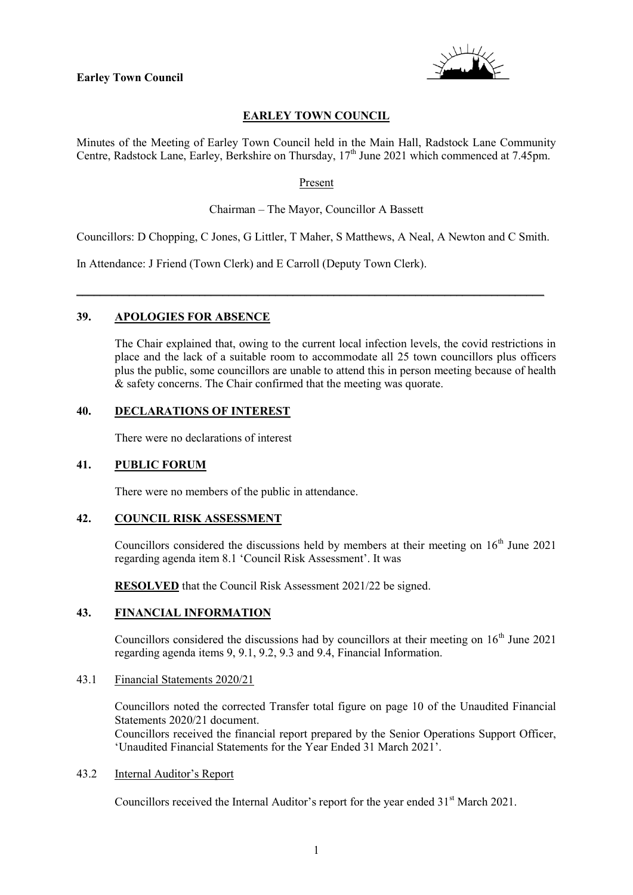

## **EARLEY TOWN COUNCIL**

Minutes of the Meeting of Earley Town Council held in the Main Hall, Radstock Lane Community Centre, Radstock Lane, Earley, Berkshire on Thursday, 17<sup>th</sup> June 2021 which commenced at 7.45pm.

### Present

### Chairman – The Mayor, Councillor A Bassett

Councillors: D Chopping, C Jones, G Littler, T Maher, S Matthews, A Neal, A Newton and C Smith.

\_\_\_\_\_\_\_\_\_\_\_\_\_\_\_\_\_\_\_\_\_\_\_\_\_\_\_\_\_\_\_\_\_\_\_\_\_\_\_\_\_\_\_\_\_\_\_\_\_\_\_\_\_\_\_\_\_\_\_\_\_\_\_\_\_\_\_\_\_\_\_\_\_\_\_\_\_\_\_\_

In Attendance: J Friend (Town Clerk) and E Carroll (Deputy Town Clerk).

#### **39. APOLOGIES FOR ABSENCE**

The Chair explained that, owing to the current local infection levels, the covid restrictions in place and the lack of a suitable room to accommodate all 25 town councillors plus officers plus the public, some councillors are unable to attend this in person meeting because of health & safety concerns. The Chair confirmed that the meeting was quorate.

#### **40. DECLARATIONS OF INTEREST**

There were no declarations of interest

## **41. PUBLIC FORUM**

There were no members of the public in attendance.

## **42. COUNCIL RISK ASSESSMENT**

Councillors considered the discussions held by members at their meeting on  $16<sup>th</sup>$  June 2021 regarding agenda item 8.1 'Council Risk Assessment'. It was

**RESOLVED** that the Council Risk Assessment 2021/22 be signed.

## **43. FINANCIAL INFORMATION**

Councillors considered the discussions had by councillors at their meeting on  $16<sup>th</sup>$  June 2021 regarding agenda items 9, 9.1, 9.2, 9.3 and 9.4, Financial Information.

#### 43.1 Financial Statements 2020/21

Councillors noted the corrected Transfer total figure on page 10 of the Unaudited Financial Statements 2020/21 document. Councillors received the financial report prepared by the Senior Operations Support Officer,

'Unaudited Financial Statements for the Year Ended 31 March 2021'.

## 43.2 Internal Auditor's Report

Councillors received the Internal Auditor's report for the year ended  $31<sup>st</sup>$  March 2021.